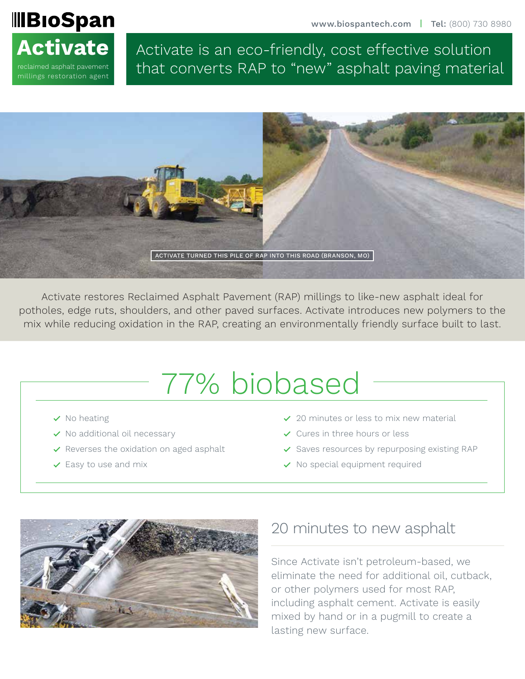

Activate is an eco-friendly, cost effective solution that converts RAP to "new" asphalt paving material



Activate restores Reclaimed Asphalt Pavement (RAP) millings to like-new asphalt ideal for potholes, edge ruts, shoulders, and other paved surfaces. Activate introduces new polymers to the mix while reducing oxidation in the RAP, creating an environmentally friendly surface built to last.

# 77% biobased

- $\checkmark$  No heating
- $\checkmark$  No additional oil necessary
- $\vee$  Reverses the oxidation on aged asphalt
- $\checkmark$  Easy to use and mix
- $\angle$  20 minutes or less to mix new material
- $\checkmark$  Cures in three hours or less
- $\checkmark$  Saves resources by repurposing existing RAP
- $\checkmark$  No special equipment required



### 20 minutes to new asphalt

Since Activate isn't petroleum-based, we eliminate the need for additional oil, cutback, or other polymers used for most RAP, including asphalt cement. Activate is easily mixed by hand or in a pugmill to create a lasting new surface.